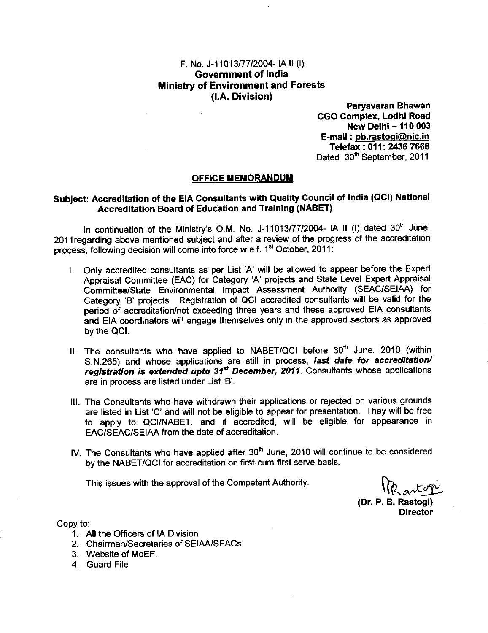### F. No. J-11013/77/2004- IA II (I) **Government of India Ministry of Environment and Forests** (I.A. Division)

Paryavaran Bhawan **CGO Complex, Lodhi Road** New Delhi - 110 003 E-mail: pb.rastogi@nic.in Telefax: 011: 2436 7668 Dated 30<sup>th</sup> September, 2011

#### **OFFICE MEMORANDUM**

### Subject: Accreditation of the EIA Consultants with Quality Council of India (QCI) National **Accreditation Board of Education and Training (NABET)**

In continuation of the Ministry's O.M. No. J-11013/77/2004- IA II (I) dated 30<sup>th</sup> June, 2011 regarding above mentioned subject and after a review of the progress of the accreditation process, following decision will come into force w.e.f. 1<sup>st</sup> October, 2011:

- I. Only accredited consultants as per List 'A' will be allowed to appear before the Expert Appraisal Committee (EAC) for Category 'A' projects and State Level Expert Appraisal Committee/State Environmental Impact Assessment Authority (SEAC/SEIAA) for Category 'B' projects. Registration of QCI accredited consultants will be valid for the period of accreditation/not exceeding three years and these approved EIA consultants and EIA coordinators will engage themselves only in the approved sectors as approved by the QCI.
- II. The consultants who have applied to NABET/QCI before 30<sup>th</sup> June, 2010 (within S.N.265) and whose applications are still in process, last date for accreditation/ registration is extended upto 31<sup>st</sup> December, 2011. Consultants whose applications are in process are listed under List 'B'.
- III. The Consultants who have withdrawn their applications or rejected on various grounds are listed in List 'C' and will not be eligible to appear for presentation. They will be free to apply to QCI/NABET, and if accredited, will be eligible for appearance in EAC/SEAC/SEIAA from the date of accreditation.
- IV. The Consultants who have applied after 30<sup>th</sup> June, 2010 will continue to be considered by the NABET/QCI for accreditation on first-cum-first serve basis.

This issues with the approval of the Competent Authority.

(Dr. P. B. Rastogi) **Director** 

Copy to:

- 1. All the Officers of IA Division
- 2. Chairman/Secretaries of SEIAA/SEACs
- 3. Website of MoEF.
- 4. Guard File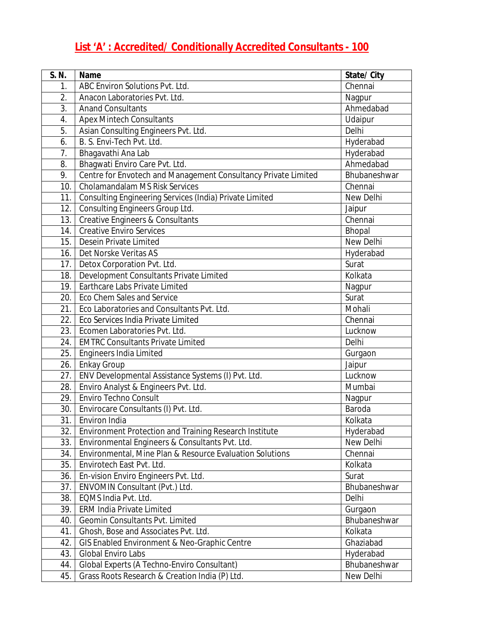# **List 'A' : Accredited/ Conditionally Accredited Consultants - 100**

| S. N.            | <b>Name</b>                                                    | State/City   |
|------------------|----------------------------------------------------------------|--------------|
| 1 <sub>1</sub>   | ABC Environ Solutions Pvt. Ltd.                                | Chennai      |
| 2.               | Anacon Laboratories Pvt. Ltd.                                  | Nagpur       |
| $\overline{3}$ . | <b>Anand Consultants</b>                                       | Ahmedabad    |
| 4.               | <b>Apex Mintech Consultants</b>                                | Udaipur      |
| 5.               | Asian Consulting Engineers Pvt. Ltd.                           | Delhi        |
| 6.               | B. S. Envi-Tech Pvt. Ltd.                                      | Hyderabad    |
| 7.               | Bhagavathi Ana Lab                                             | Hyderabad    |
| 8.               | Bhagwati Enviro Care Pvt. Ltd.                                 | Ahmedabad    |
| 9.               | Centre for Envotech and Management Consultancy Private Limited | Bhubaneshwar |
| 10.              | <b>Cholamandalam MS Risk Services</b>                          | Chennai      |
| 11.              | Consulting Engineering Services (India) Private Limited        | New Delhi    |
| 12.              | Consulting Engineers Group Ltd.                                | Jaipur       |
| 13.              | <b>Creative Engineers &amp; Consultants</b>                    | Chennai      |
| 14.              | <b>Creative Enviro Services</b>                                | Bhopal       |
| 15.1             | Desein Private Limited                                         | New Delhi    |
| 16.1             | Det Norske Veritas AS                                          | Hyderabad    |
| 17.              | Detox Corporation Pvt. Ltd.                                    | Surat        |
| 18.              | Development Consultants Private Limited                        | Kolkata      |
| 19.1             | Earthcare Labs Private Limited                                 | Nagpur       |
| 20.1             | Eco Chem Sales and Service                                     | Surat        |
| 21.              | Eco Laboratories and Consultants Pvt. Ltd.                     | Mohali       |
| 22.1             | Eco Services India Private Limited                             | Chennai      |
| 23.              | Ecomen Laboratories Pvt. Ltd.                                  | Lucknow      |
| 24.              | <b>EMTRC Consultants Private Limited</b>                       | Delhi        |
| 25.              | <b>Engineers India Limited</b>                                 | Gurgaon      |
| 26.              | <b>Enkay Group</b>                                             | Jaipur       |
| 27.              | ENV Developmental Assistance Systems (I) Pvt. Ltd.             | Lucknow      |
| 28.              | Enviro Analyst & Engineers Pvt. Ltd.                           | Mumbai       |
| 29.1             | <b>Enviro Techno Consult</b>                                   | Nagpur       |
| 30.              | Envirocare Consultants (I) Pvt. Ltd.                           | Baroda       |
| 31.              | Environ India                                                  | Kolkata      |
| 32.              | Environment Protection and Training Research Institute         | Hyderabad    |
| 33.              | Environmental Engineers & Consultants Pvt. Ltd.                | New Delhi    |
| 34.              | Environmental, Mine Plan & Resource Evaluation Solutions       | Chennai      |
| 35.              | Envirotech East Pvt. Ltd.                                      | Kolkata      |
| 36.              | En-vision Enviro Engineers Pvt. Ltd.                           | Surat        |
| 37.              | ENVOMIN Consultant (Pvt.) Ltd.                                 | Bhubaneshwar |
| 38.              | EQMS India Pvt. Ltd.                                           | Delhi        |
| 39.              | <b>ERM India Private Limited</b>                               | Gurgaon      |
| 40.              | Geomin Consultants Pvt. Limited                                | Bhubaneshwar |
| 41.              | Ghosh, Bose and Associates Pvt. Ltd.                           | Kolkata      |
| 42.              | GIS Enabled Environment & Neo-Graphic Centre                   | Ghaziabad    |
| 43.              | <b>Global Enviro Labs</b>                                      | Hyderabad    |
| 44.              | Global Experts (A Techno-Enviro Consultant)                    | Bhubaneshwar |
| 45.              | Grass Roots Research & Creation India (P) Ltd.                 | New Delhi    |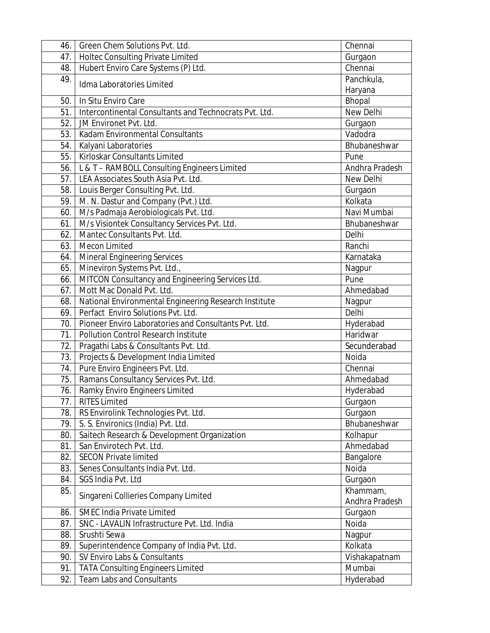| 46.  | Green Chem Solutions Pvt. Ltd.                         | Chennai        |
|------|--------------------------------------------------------|----------------|
| 47.  | <b>Holtec Consulting Private Limited</b>               | Gurgaon        |
| 48.  | Hubert Enviro Care Systems (P) Ltd.                    | Chennai        |
| 49.  | Idma Laboratories Limited                              | Panchkula,     |
|      |                                                        | Haryana        |
| 50.  | In Situ Enviro Care                                    | <b>Bhopal</b>  |
| 51.  | Intercontinental Consultants and Technocrats Pvt. Ltd. | New Delhi      |
| 52.  | JM Environet Pvt. Ltd.                                 | Gurgaon        |
| 53.1 | Kadam Environmental Consultants                        | Vadodra        |
| 54.  | Kalyani Laboratories                                   | Bhubaneshwar   |
| 55.  | <b>Kirloskar Consultants Limited</b>                   | Pune           |
| 56.  | L & T - RAMBOLL Consulting Engineers Limited           | Andhra Pradesh |
| 57.  | LEA Associates South Asia Pvt. Ltd.                    | New Delhi      |
| 58.  | Louis Berger Consulting Pvt. Ltd.                      | Gurgaon        |
| 59.  | M. N. Dastur and Company (Pvt.) Ltd.                   | Kolkata        |
| 60.  | M/s Padmaja Aerobiologicals Pvt. Ltd.                  | Navi Mumbai    |
| 61.  | M/s Visiontek Consultancy Services Pvt. Ltd.           | Bhubaneshwar   |
| 62.  | Mantec Consultants Pvt. Ltd.                           | Delhi          |
| 63.  | Mecon Limited                                          | Ranchi         |
| 64.  | <b>Mineral Engineering Services</b>                    | Karnataka      |
| 65.  | Mineviron Systems Pvt. Ltd.,                           | Nagpur         |
| 66.  | MITCON Consultancy and Engineering Services Ltd.       | Pune           |
| 67.  | Mott Mac Donald Pvt. Ltd.                              | Ahmedabad      |
| 68.  | National Environmental Engineering Research Institute  | Nagpur         |
| 69.  | Perfact Enviro Solutions Pvt. Ltd.                     | Delhi          |
| 70.  | Pioneer Enviro Laboratories and Consultants Pvt. Ltd.  | Hyderabad      |
| 71.  | <b>Pollution Control Research Institute</b>            | Haridwar       |
| 72.  | Pragathi Labs & Consultants Pvt. Ltd.                  | Secunderabad   |
| 73.  | Projects & Development India Limited                   | Noida          |
| 74.  | Pure Enviro Engineers Pvt. Ltd.                        | Chennai        |
| 75.  | Ramans Consultancy Services Pvt. Ltd.                  | Ahmedabad      |
| 76.  | <b>Ramky Enviro Engineers Limited</b>                  | Hyderabad      |
| 77.  | <b>RITES Limited</b>                                   | Gurgaon        |
| 78.  | RS Envirolink Technologies Pvt. Ltd.                   | Gurgaon        |
| 79.  | S. S. Environics (India) Pvt. Ltd.                     | Bhubaneshwar   |
| 80.  | Saitech Research & Development Organization            | Kolhapur       |
| 81.  | San Envirotech Pvt. Ltd.                               | Ahmedabad      |
| 82.  | <b>SECON Private limited</b>                           | Bangalore      |
| 83.  | Senes Consultants India Pvt. Ltd.                      | Noida          |
| 84.  | SGS India Pvt. Ltd                                     | Gurgaon        |
| 85.  | Singareni Collieries Company Limited                   | Khammam,       |
|      |                                                        | Andhra Pradesh |
| 86.  | <b>SMEC India Private Limited</b>                      | Gurgaon        |
| 87.  | SNC - LAVALIN Infrastructure Pvt. Ltd. India           | Noida          |
| 88.  | Srushti Sewa                                           | Nagpur         |
| 89.  | Superintendence Company of India Pvt. Ltd.             | Kolkata        |
| 90.  | SV Enviro Labs & Consultants                           | Vishakapatnam  |
| 91.  | <b>TATA Consulting Engineers Limited</b>               | Mumbai         |
| 92.  | <b>Team Labs and Consultants</b>                       | Hyderabad      |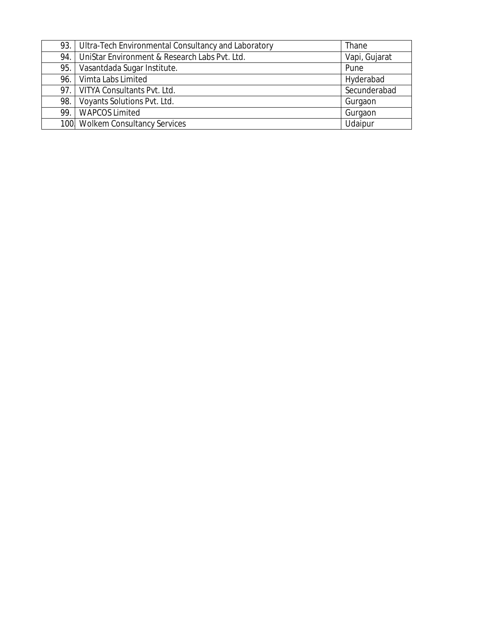|      | 93. Ultra-Tech Environmental Consultancy and Laboratory | Thane         |
|------|---------------------------------------------------------|---------------|
| 94.1 | UniStar Environment & Research Labs Pvt. Ltd.           | Vapi, Gujarat |
| 95.  | Vasantdada Sugar Institute.                             | Pune          |
| 96.  | Vimta Labs Limited                                      | Hyderabad     |
|      | 97. VITYA Consultants Pvt. Ltd.                         | Secunderabad  |
| 98.  | Voyants Solutions Pvt. Ltd.                             | Gurgaon       |
| 99.1 | <b>WAPCOS Limited</b>                                   | Gurgaon       |
|      | 100 Wolkem Consultancy Services                         | Udaipur       |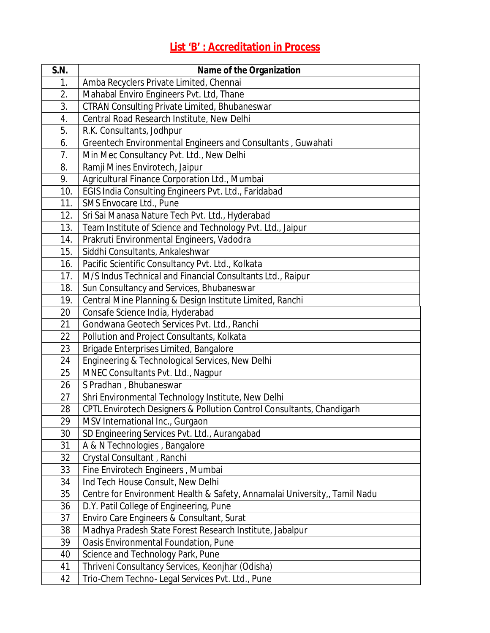## **List 'B' : Accreditation in Process**

| S.N. | <b>Name of the Organization</b>                                           |
|------|---------------------------------------------------------------------------|
| 1.   | Amba Recyclers Private Limited, Chennai                                   |
| 2.   | Mahabal Enviro Engineers Pvt. Ltd, Thane                                  |
| 3.   | <b>CTRAN Consulting Private Limited, Bhubaneswar</b>                      |
| 4.   | Central Road Research Institute, New Delhi                                |
| 5.   | R.K. Consultants, Jodhpur                                                 |
| 6.   | Greentech Environmental Engineers and Consultants, Guwahati               |
| 7.   | Min Mec Consultancy Pvt. Ltd., New Delhi                                  |
| 8.   | Ramji Mines Envirotech, Jaipur                                            |
| 9.   | Agricultural Finance Corporation Ltd., Mumbai                             |
| 10.  | EGIS India Consulting Engineers Pvt. Ltd., Faridabad                      |
| 11.  | SMS Envocare Ltd., Pune                                                   |
| 12.  | Sri Sai Manasa Nature Tech Pvt. Ltd., Hyderabad                           |
| 13.  | Team Institute of Science and Technology Pvt. Ltd., Jaipur                |
| 14.  | Prakruti Environmental Engineers, Vadodra                                 |
| 15.  | Siddhi Consultants, Ankaleshwar                                           |
| 16.  | Pacific Scientific Consultancy Pvt. Ltd., Kolkata                         |
| 17.  | M/S Indus Technical and Financial Consultants Ltd., Raipur                |
| 18.  | Sun Consultancy and Services, Bhubaneswar                                 |
| 19.  | Central Mine Planning & Design Institute Limited, Ranchi                  |
| 20   | Consafe Science India, Hyderabad                                          |
| 21   | Gondwana Geotech Services Pvt. Ltd., Ranchi                               |
| 22   | Pollution and Project Consultants, Kolkata                                |
| 23   | Brigade Enterprises Limited, Bangalore                                    |
| 24   | Engineering & Technological Services, New Delhi                           |
| 25   | MNEC Consultants Pvt. Ltd., Nagpur                                        |
| 26   | S Pradhan, Bhubaneswar                                                    |
| 27   | Shri Environmental Technology Institute, New Delhi                        |
| 28   | CPTL Envirotech Designers & Pollution Control Consultants, Chandigarh     |
| 29   | MSV International Inc., Gurgaon                                           |
| 30   | SD Engineering Services Pvt. Ltd., Aurangabad                             |
| 31   | A & N Technologies, Bangalore                                             |
| 32   | Crystal Consultant, Ranchi                                                |
| 33   | Fine Envirotech Engineers, Mumbai                                         |
| 34   | Ind Tech House Consult, New Delhi                                         |
| 35   | Centre for Environment Health & Safety, Annamalai University,, Tamil Nadu |
| 36   | D.Y. Patil College of Engineering, Pune                                   |
| 37   | Enviro Care Engineers & Consultant, Surat                                 |
| 38   | Madhya Pradesh State Forest Research Institute, Jabalpur                  |
| 39   | Oasis Environmental Foundation, Pune                                      |
| 40   | Science and Technology Park, Pune                                         |
| 41   | Thriveni Consultancy Services, Keonjhar (Odisha)                          |
| 42   | Trio-Chem Techno- Legal Services Pvt. Ltd., Pune                          |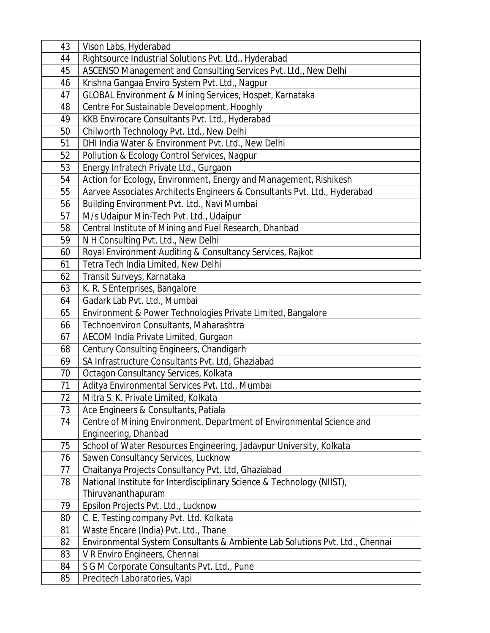| 43 | Vison Labs, Hyderabad                                                        |  |  |
|----|------------------------------------------------------------------------------|--|--|
| 44 | Rightsource Industrial Solutions Pvt. Ltd., Hyderabad                        |  |  |
| 45 | ASCENSO Management and Consulting Services Pvt. Ltd., New Delhi              |  |  |
| 46 | Krishna Gangaa Enviro System Pvt. Ltd., Nagpur                               |  |  |
| 47 | GLOBAL Environment & Mining Services, Hospet, Karnataka                      |  |  |
| 48 | Centre For Sustainable Development, Hooghly                                  |  |  |
| 49 | KKB Envirocare Consultants Pvt. Ltd., Hyderabad                              |  |  |
| 50 | Chilworth Technology Pvt. Ltd., New Delhi                                    |  |  |
| 51 | DHI India Water & Environment Pvt. Ltd., New Delhi                           |  |  |
| 52 | Pollution & Ecology Control Services, Nagpur                                 |  |  |
| 53 | Energy Infratech Private Ltd., Gurgaon                                       |  |  |
| 54 | Action for Ecology, Environment, Energy and Management, Rishikesh            |  |  |
| 55 | Aarvee Associates Architects Engineers & Consultants Pvt. Ltd., Hyderabad    |  |  |
| 56 | Building Environment Pvt. Ltd., Navi Mumbai                                  |  |  |
| 57 | M/s Udaipur Min-Tech Pvt. Ltd., Udaipur                                      |  |  |
| 58 | Central Institute of Mining and Fuel Research, Dhanbad                       |  |  |
| 59 | N H Consulting Pvt. Ltd., New Delhi                                          |  |  |
| 60 | Royal Environment Auditing & Consultancy Services, Rajkot                    |  |  |
| 61 | Tetra Tech India Limited, New Delhi                                          |  |  |
| 62 | Transit Surveys, Karnataka                                                   |  |  |
| 63 | K. R. S Enterprises, Bangalore                                               |  |  |
| 64 | Gadark Lab Pvt. Ltd., Mumbai                                                 |  |  |
| 65 | Environment & Power Technologies Private Limited, Bangalore                  |  |  |
| 66 | Technoenviron Consultants, Maharashtra                                       |  |  |
| 67 | AECOM India Private Limited, Gurgaon                                         |  |  |
| 68 | Century Consulting Engineers, Chandigarh                                     |  |  |
| 69 | SA Infrastructure Consultants Pvt. Ltd, Ghaziabad                            |  |  |
| 70 | Octagon Consultancy Services, Kolkata                                        |  |  |
| 71 | Aditya Environmental Services Pvt. Ltd., Mumbai                              |  |  |
| 72 | Mitra S. K. Private Limited, Kolkata                                         |  |  |
| 73 | Ace Engineers & Consultants, Patiala                                         |  |  |
| 74 | Centre of Mining Environment, Department of Environmental Science and        |  |  |
|    | Engineering, Dhanbad                                                         |  |  |
| 75 | School of Water Resources Engineering, Jadavpur University, Kolkata          |  |  |
| 76 | Sawen Consultancy Services, Lucknow                                          |  |  |
| 77 | Chaitanya Projects Consultancy Pvt. Ltd, Ghaziabad                           |  |  |
| 78 | National Institute for Interdisciplinary Science & Technology (NIIST),       |  |  |
|    | Thiruvananthapuram                                                           |  |  |
| 79 | Epsilon Projects Pvt. Ltd., Lucknow                                          |  |  |
| 80 | C. E. Testing company Pvt. Ltd. Kolkata                                      |  |  |
| 81 | Waste Encare (India) Pvt. Ltd., Thane                                        |  |  |
| 82 | Environmental System Consultants & Ambiente Lab Solutions Pvt. Ltd., Chennai |  |  |
| 83 | V R Enviro Engineers, Chennai                                                |  |  |
| 84 | S G M Corporate Consultants Pvt. Ltd., Pune                                  |  |  |
| 85 | Precitech Laboratories, Vapi                                                 |  |  |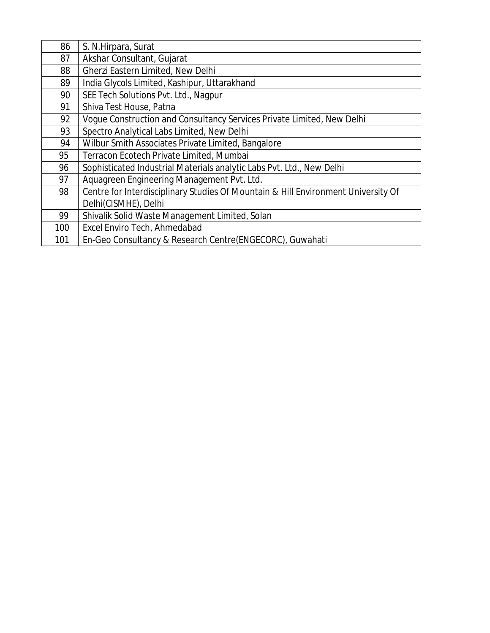| 86  | S. N.Hirpara, Surat                                                               |
|-----|-----------------------------------------------------------------------------------|
| 87  | Akshar Consultant, Gujarat                                                        |
| 88  | Gherzi Eastern Limited, New Delhi                                                 |
| 89  | India Glycols Limited, Kashipur, Uttarakhand                                      |
| 90  | SEE Tech Solutions Pvt. Ltd., Nagpur                                              |
| 91  | Shiva Test House, Patna                                                           |
| 92  | Vogue Construction and Consultancy Services Private Limited, New Delhi            |
| 93  | Spectro Analytical Labs Limited, New Delhi                                        |
| 94  | Wilbur Smith Associates Private Limited, Bangalore                                |
| 95  | Terracon Ecotech Private Limited, Mumbai                                          |
| 96  | Sophisticated Industrial Materials analytic Labs Pvt. Ltd., New Delhi             |
| 97  | Aquagreen Engineering Management Pvt. Ltd.                                        |
| 98  | Centre for Interdisciplinary Studies Of Mountain & Hill Environment University Of |
|     | Delhi(CISMHE), Delhi                                                              |
| 99  | Shivalik Solid Waste Management Limited, Solan                                    |
| 100 | Excel Enviro Tech, Ahmedabad                                                      |
| 101 | En-Geo Consultancy & Research Centre(ENGECORC), Guwahati                          |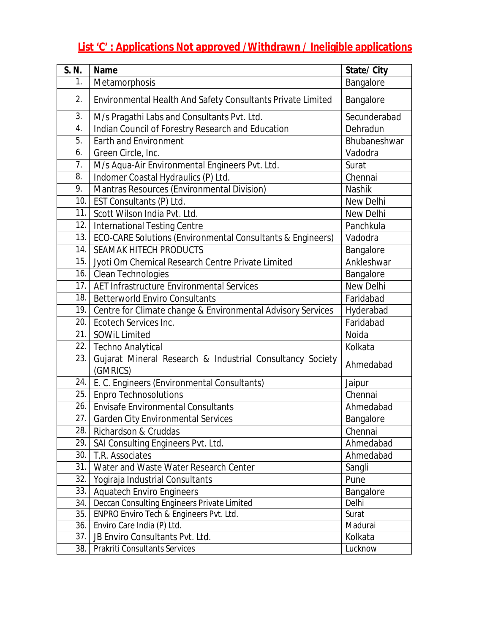## **List 'C' : Applications Not approved /Withdrawn / Ineligible applications**

| S. N. | <b>Name</b>                                                           | State/City       |  |
|-------|-----------------------------------------------------------------------|------------------|--|
| 1.    | Bangalore<br>Metamorphosis                                            |                  |  |
| 2.    | Environmental Health And Safety Consultants Private Limited           | Bangalore        |  |
| 3.    | M/s Pragathi Labs and Consultants Pvt. Ltd.                           | Secunderabad     |  |
| 4.    | Indian Council of Forestry Research and Education                     | Dehradun         |  |
| 5.    | <b>Earth and Environment</b>                                          | Bhubaneshwar     |  |
| 6.    | Green Circle, Inc.                                                    | Vadodra          |  |
| 7.    | M/s Aqua-Air Environmental Engineers Pvt. Ltd.                        | Surat            |  |
| 8.    | Indomer Coastal Hydraulics (P) Ltd.                                   | Chennai          |  |
| 9.    | Mantras Resources (Environmental Division)                            | <b>Nashik</b>    |  |
| 10.   | EST Consultants (P) Ltd.                                              | New Delhi        |  |
| 11.   | Scott Wilson India Pvt. Ltd.                                          | New Delhi        |  |
| 12.   | <b>International Testing Centre</b>                                   | Panchkula        |  |
| 13.   | ECO-CARE Solutions (Environmental Consultants & Engineers)            | Vadodra          |  |
| 14.   | <b>SEAMAK HITECH PRODUCTS</b>                                         | Bangalore        |  |
| 15.   | Jyoti Om Chemical Research Centre Private Limited                     | Ankleshwar       |  |
| 16.   | <b>Clean Technologies</b>                                             | Bangalore        |  |
| 17.   | AET Infrastructure Environmental Services                             | New Delhi        |  |
| 18.   | <b>Betterworld Enviro Consultants</b>                                 | Faridabad        |  |
| 19.   | Centre for Climate change & Environmental Advisory Services           | Hyderabad        |  |
| 20.   | Ecotech Services Inc.                                                 | Faridabad        |  |
| 21.   | <b>SOWIL Limited</b>                                                  | Noida            |  |
| 22.   | <b>Techno Analytical</b>                                              | Kolkata          |  |
| 23.   | Gujarat Mineral Research & Industrial Consultancy Society<br>(GMRICS) | Ahmedabad        |  |
| 24.   | E. C. Engineers (Environmental Consultants)                           | Jaipur           |  |
| 25.   | <b>Enpro Technosolutions</b>                                          | Chennai          |  |
| 26.   | <b>Envisafe Environmental Consultants</b>                             | Ahmedabad        |  |
|       | 27. Garden City Environmental Services                                | <b>Bangalore</b> |  |
| 28.   | Richardson & Cruddas                                                  | Chennai          |  |
| 29.   | SAI Consulting Engineers Pvt. Ltd.                                    | Ahmedabad        |  |
| 30.   | T.R. Associates                                                       | Ahmedabad        |  |
| 31.   | Water and Waste Water Research Center                                 | Sangli           |  |
| 32.   | Yogiraja Industrial Consultants                                       | Pune             |  |
| 33.   | <b>Aquatech Enviro Engineers</b>                                      | Bangalore        |  |
| 34.   | Deccan Consulting Engineers Private Limited                           | Delhi            |  |
| 35.   | ENPRO Enviro Tech & Engineers Pvt. Ltd.                               | Surat            |  |
| 36.   | Enviro Care India (P) Ltd.                                            | Madurai          |  |
| 37.   | JB Enviro Consultants Pvt. Ltd.                                       | Kolkata          |  |
| 38.   | <b>Prakriti Consultants Services</b>                                  | Lucknow          |  |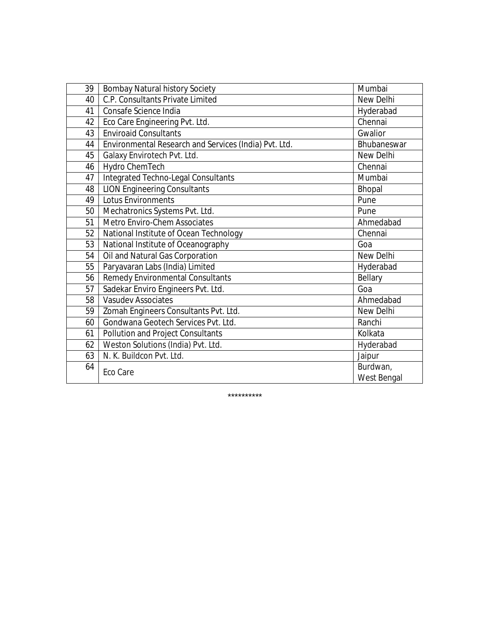| 39 | <b>Bombay Natural history Society</b>                 | Mumbai      |
|----|-------------------------------------------------------|-------------|
| 40 | C.P. Consultants Private Limited                      | New Delhi   |
| 41 | Consafe Science India                                 | Hyderabad   |
| 42 | Eco Care Engineering Pvt. Ltd.                        | Chennai     |
| 43 | <b>Enviroaid Consultants</b>                          | Gwalior     |
| 44 | Environmental Research and Services (India) Pvt. Ltd. | Bhubaneswar |
| 45 | Galaxy Envirotech Pvt. Ltd.                           | New Delhi   |
| 46 | Hydro ChemTech                                        | Chennai     |
| 47 | <b>Integrated Techno-Legal Consultants</b>            | Mumbai      |
| 48 | <b>LION Engineering Consultants</b>                   | Bhopal      |
| 49 | <b>Lotus Environments</b>                             | Pune        |
| 50 | Mechatronics Systems Pvt. Ltd.                        | Pune        |
| 51 | Metro Enviro-Chem Associates                          | Ahmedabad   |
| 52 | National Institute of Ocean Technology                | Chennai     |
| 53 | National Institute of Oceanography                    | Goa         |
| 54 | Oil and Natural Gas Corporation                       | New Delhi   |
| 55 | Paryavaran Labs (India) Limited                       | Hyderabad   |
| 56 | <b>Remedy Environmental Consultants</b>               | Bellary     |
| 57 | Sadekar Enviro Engineers Pvt. Ltd.                    | Goa         |
| 58 | <b>Vasudev Associates</b>                             | Ahmedabad   |
| 59 | Zomah Engineers Consultants Pvt. Ltd.                 | New Delhi   |
| 60 | Gondwana Geotech Services Pvt. Ltd.                   | Ranchi      |
| 61 | <b>Pollution and Project Consultants</b>              | Kolkata     |
| 62 | Weston Solutions (India) Pvt. Ltd.                    | Hyderabad   |
| 63 | N. K. Buildcon Pvt. Ltd.                              | Jaipur      |
| 64 | Eco Care                                              | Burdwan,    |
|    |                                                       | West Bengal |

\*\*\*\*\*\*\*\*\*\*